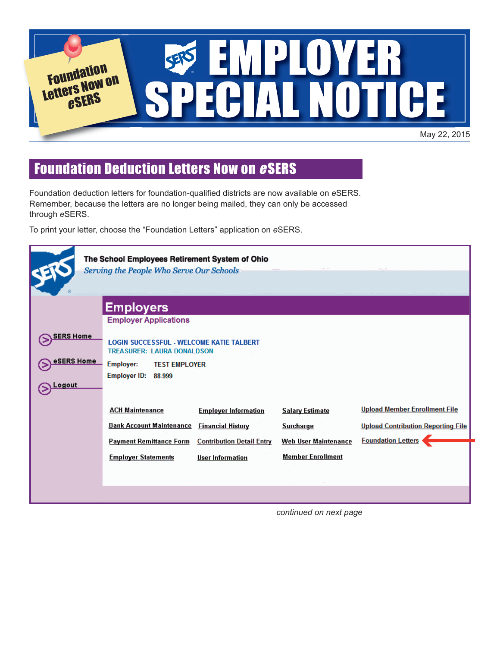

## Foundation Deduction Letters Now on <sup>e</sup>SERS

Foundation deduction letters for foundation-qualified districts are now available on *e*SERS. Remember, because the letters are no longer being mailed, they can only be accessed through *e*SERS.

To print your letter, choose the "Foundation Letters" application on *e*SERS.

| The School Employees Retirement System of Ohio<br>Serving the People Who Serve Our Schools |                                                                                      |                                  |                             |                                           |  |
|--------------------------------------------------------------------------------------------|--------------------------------------------------------------------------------------|----------------------------------|-----------------------------|-------------------------------------------|--|
|                                                                                            | <b>Employers</b>                                                                     |                                  |                             |                                           |  |
|                                                                                            | <b>Employer Applications</b>                                                         |                                  |                             |                                           |  |
| <b>SERS Home</b>                                                                           | <b>LOGIN SUCCESSFUL - WELCOME KATIE TALBERT</b><br><b>TREASURER: LAURA DONALDSON</b> |                                  |                             |                                           |  |
| eSERS Home                                                                                 | <b>Employer:</b><br><b>TEST EMPLOYER</b>                                             |                                  |                             |                                           |  |
| Logout                                                                                     | Employer ID: 88-999                                                                  |                                  |                             |                                           |  |
|                                                                                            | <b>ACH Maintenance</b>                                                               | <b>Employer Information</b>      | <b>Salary Estimate</b>      | <b>Upload Member Enrollment File</b>      |  |
|                                                                                            | <b>Bank Account Maintenance</b>                                                      | <b>Financial History</b>         | <b>Surcharge</b>            | <b>Upload Contribution Reporting File</b> |  |
|                                                                                            | <b>Payment Remittance Form</b>                                                       | <b>Contribution Detail Entry</b> | <b>Web User Maintenance</b> | <b>Foundation Letters</b>                 |  |
|                                                                                            | <b>Employer Statements</b>                                                           | <b>User Information</b>          | <b>Member Enrollment</b>    |                                           |  |
|                                                                                            |                                                                                      |                                  |                             |                                           |  |
|                                                                                            |                                                                                      |                                  |                             |                                           |  |

*continued on next page*